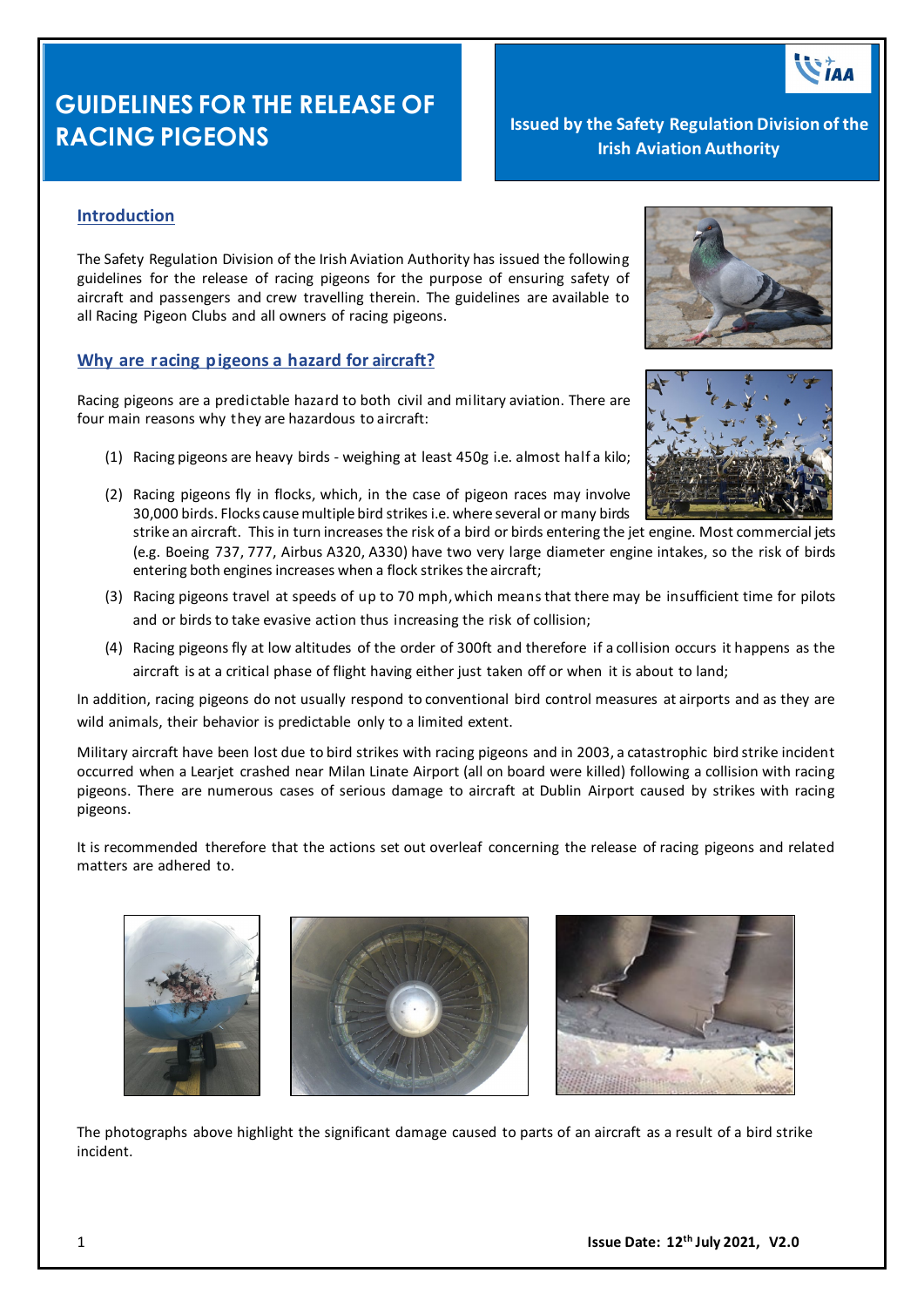# **GUIDELINES FOR THE RELEASE OF RACING PIGEONS Issued by the Safety Regulation Division of the** <br> **Issued by the Safety Regulation Division of the**

**Irish Aviation Authority**

### **Introduction**

The Safety Regulation Division of the Irish Aviation Authority has issued the following guidelines for the release of racing pigeons for the purpose of ensuring safety of aircraft and passengers and crew travelling therein. The guidelines are available to all Racing Pigeon Clubs and all owners of racing pigeons.

#### **Why are racing pigeons a hazard for aircraft?**

Racing pigeons are a predictable hazard to both civil and military aviation. There are four main reasons why they are hazardous to aircraft:

- (1) Racing pigeons are heavy birds weighing at least 450g i.e. almost half a kilo;
- (2) Racing pigeons fly in flocks, which, in the case of pigeon races may involve 30,000 birds. Flocks cause multiple bird strikes i.e. where several or many birds

strike an aircraft. This in turn increases the risk of a bird or birds entering the jet engine. Most commercial jets (e.g. Boeing 737, 777, Airbus A320, A330) have two very large diameter engine intakes, so the risk of birds entering both engines increases when a flock strikes the aircraft;

- (3) Racing pigeons travel at speeds of up to 70 mph,which means that there may be insufficient time for pilots and or birds to take evasive action thus increasing the risk of collision;
- (4) Racing pigeons fly at low altitudes of the order of 300ft and therefore if a collision occurs it happens as the aircraft is at a critical phase of flight having either just taken off or when it is about to land;

In addition, racing pigeons do not usually respond to conventional bird control measures at airports and as they are wild animals, their behavior is predictable only to a limited extent.

Military aircraft have been lost due to bird strikes with racing pigeons and in 2003, a catastrophic bird strike incident occurred when a Learjet crashed near Milan Linate Airport (all on board were killed) following a collision with racing pigeons. There are numerous cases of serious damage to aircraft at Dublin Airport caused by strikes with racing pigeons.

It is recommended therefore that the actions set out overleaf concerning the release of racing pigeons and related matters are adhered to.